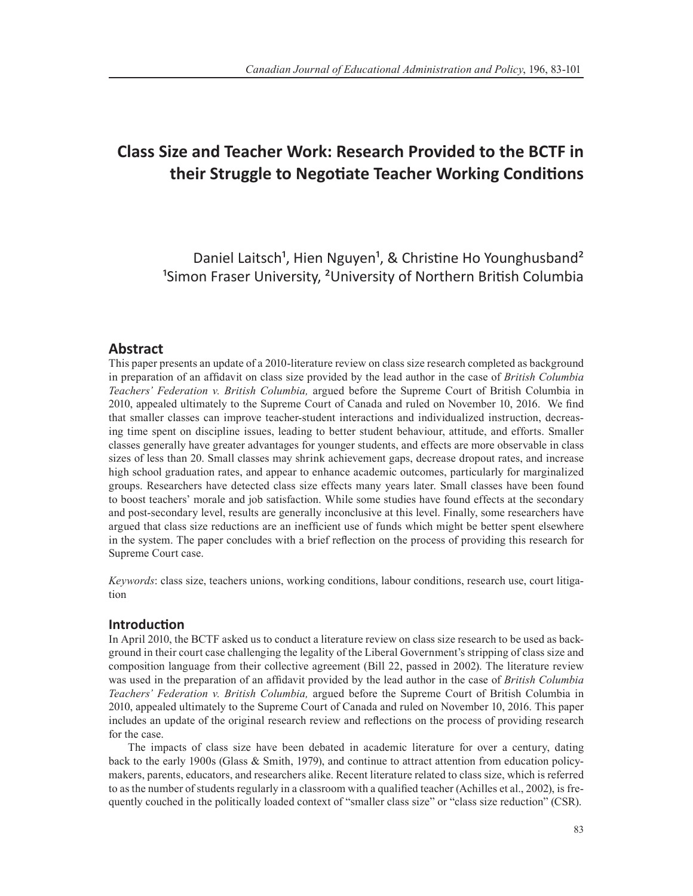# **Class Size and Teacher Work: Research Provided to the BCTF in their Struggle to Negotiate Teacher Working Conditions**

Daniel Laitsch<sup>1</sup>, Hien Nguyen<sup>1</sup>, & Christine Ho Younghusband<sup>2</sup> <sup>1</sup>Simon Fraser University, <sup>2</sup>University of Northern British Columbia

# **Abstract**

This paper presents an update of a 2010-literature review on class size research completed as background in preparation of an affidavit on class size provided by the lead author in the case of *British Columbia Teachers' Federation v. British Columbia,* argued before the Supreme Court of British Columbia in 2010, appealed ultimately to the Supreme Court of Canada and ruled on November 10, 2016. We find that smaller classes can improve teacher-student interactions and individualized instruction, decreasing time spent on discipline issues, leading to better student behaviour, attitude, and efforts. Smaller classes generally have greater advantages for younger students, and effects are more observable in class sizes of less than 20. Small classes may shrink achievement gaps, decrease dropout rates, and increase high school graduation rates, and appear to enhance academic outcomes, particularly for marginalized groups. Researchers have detected class size effects many years later. Small classes have been found to boost teachers' morale and job satisfaction. While some studies have found effects at the secondary and post-secondary level, results are generally inconclusive at this level. Finally, some researchers have argued that class size reductions are an inefficient use of funds which might be better spent elsewhere in the system. The paper concludes with a brief reflection on the process of providing this research for Supreme Court case.

*Keywords*: class size, teachers unions, working conditions, labour conditions, research use, court litigation

# **Introduction**

In April 2010, the BCTF asked us to conduct a literature review on class size research to be used as background in their court case challenging the legality of the Liberal Government's stripping of class size and composition language from their collective agreement (Bill 22, passed in 2002). The literature review was used in the preparation of an affidavit provided by the lead author in the case of *British Columbia Teachers' Federation v. British Columbia,* argued before the Supreme Court of British Columbia in 2010, appealed ultimately to the Supreme Court of Canada and ruled on November 10, 2016. This paper includes an update of the original research review and reflections on the process of providing research for the case.

The impacts of class size have been debated in academic literature for over a century, dating back to the early 1900s (Glass & Smith, 1979), and continue to attract attention from education policymakers, parents, educators, and researchers alike. Recent literature related to class size, which is referred to as the number of students regularly in a classroom with a qualified teacher (Achilles et al., 2002), is frequently couched in the politically loaded context of "smaller class size" or "class size reduction" (CSR).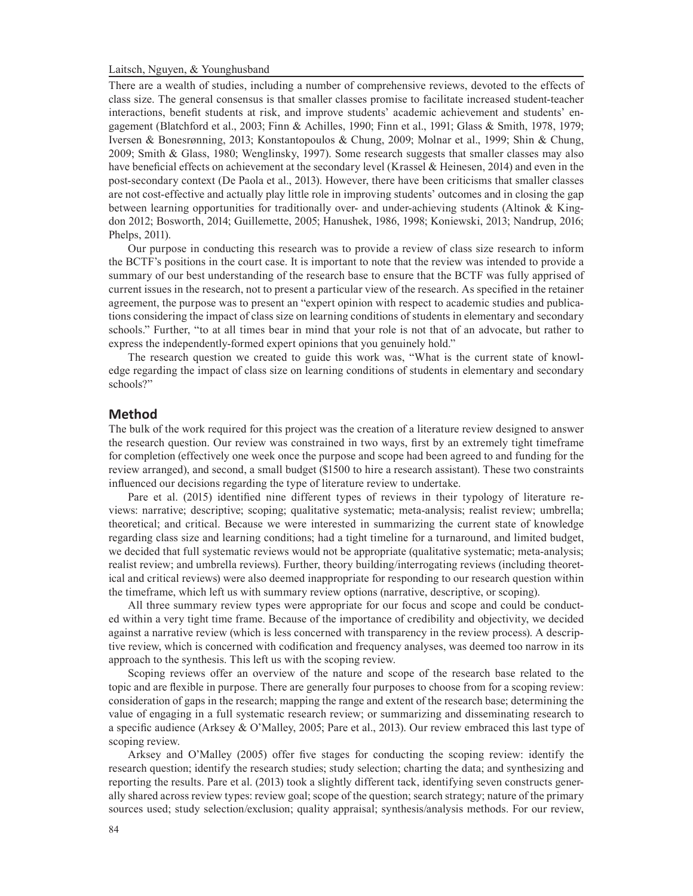There are a wealth of studies, including a number of comprehensive reviews, devoted to the effects of class size. The general consensus is that smaller classes promise to facilitate increased student-teacher interactions, benefit students at risk, and improve students' academic achievement and students' engagement (Blatchford et al., 2003; Finn & Achilles, 1990; Finn et al., 1991; Glass & Smith, 1978, 1979; Iversen & Bonesrønning, 2013; Konstantopoulos & Chung, 2009; Molnar et al., 1999; Shin & Chung, 2009; Smith & Glass, 1980; Wenglinsky, 1997). Some research suggests that smaller classes may also have beneficial effects on achievement at the secondary level (Krassel & Heinesen, 2014) and even in the post-secondary context (De Paola et al., 2013). However, there have been criticisms that smaller classes are not cost-effective and actually play little role in improving students' outcomes and in closing the gap between learning opportunities for traditionally over- and under-achieving students (Altinok & Kingdon 2012; Bosworth, 2014; Guillemette, 2005; Hanushek, 1986, 1998; Koniewski, 2013; Nandrup, 2016; Phelps, 2011).

Our purpose in conducting this research was to provide a review of class size research to inform the BCTF's positions in the court case. It is important to note that the review was intended to provide a summary of our best understanding of the research base to ensure that the BCTF was fully apprised of current issues in the research, not to present a particular view of the research. As specified in the retainer agreement, the purpose was to present an "expert opinion with respect to academic studies and publications considering the impact of class size on learning conditions of students in elementary and secondary schools." Further, "to at all times bear in mind that your role is not that of an advocate, but rather to express the independently-formed expert opinions that you genuinely hold."

The research question we created to guide this work was, "What is the current state of knowledge regarding the impact of class size on learning conditions of students in elementary and secondary schools?"

#### **Method**

The bulk of the work required for this project was the creation of a literature review designed to answer the research question. Our review was constrained in two ways, first by an extremely tight timeframe for completion (effectively one week once the purpose and scope had been agreed to and funding for the review arranged), and second, a small budget (\$1500 to hire a research assistant). These two constraints influenced our decisions regarding the type of literature review to undertake.

Pare et al. (2015) identified nine different types of reviews in their typology of literature reviews: narrative; descriptive; scoping; qualitative systematic; meta-analysis; realist review; umbrella; theoretical; and critical. Because we were interested in summarizing the current state of knowledge regarding class size and learning conditions; had a tight timeline for a turnaround, and limited budget, we decided that full systematic reviews would not be appropriate (qualitative systematic; meta-analysis; realist review; and umbrella reviews). Further, theory building/interrogating reviews (including theoretical and critical reviews) were also deemed inappropriate for responding to our research question within the timeframe, which left us with summary review options (narrative, descriptive, or scoping).

All three summary review types were appropriate for our focus and scope and could be conducted within a very tight time frame. Because of the importance of credibility and objectivity, we decided against a narrative review (which is less concerned with transparency in the review process). A descriptive review, which is concerned with codification and frequency analyses, was deemed too narrow in its approach to the synthesis. This left us with the scoping review.

Scoping reviews offer an overview of the nature and scope of the research base related to the topic and are flexible in purpose. There are generally four purposes to choose from for a scoping review: consideration of gaps in the research; mapping the range and extent of the research base; determining the value of engaging in a full systematic research review; or summarizing and disseminating research to a specific audience (Arksey & O'Malley, 2005; Pare et al., 2013). Our review embraced this last type of scoping review.

Arksey and O'Malley (2005) offer five stages for conducting the scoping review: identify the research question; identify the research studies; study selection; charting the data; and synthesizing and reporting the results. Pare et al. (2013) took a slightly different tack, identifying seven constructs generally shared across review types: review goal; scope of the question; search strategy; nature of the primary sources used; study selection/exclusion; quality appraisal; synthesis/analysis methods. For our review,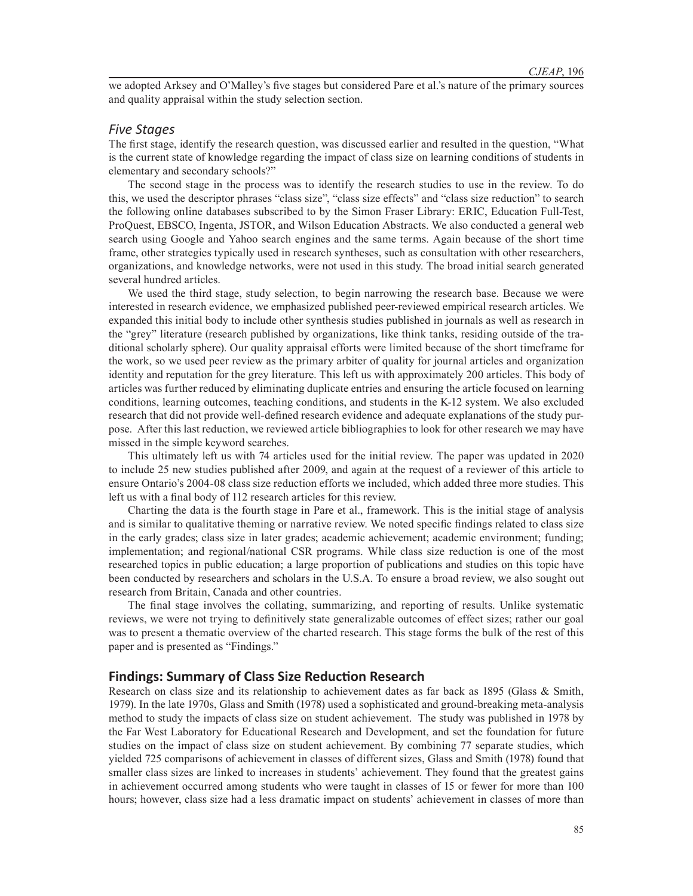we adopted Arksey and O'Malley's five stages but considered Pare et al.'s nature of the primary sources and quality appraisal within the study selection section.

## *Five Stages*

The first stage, identify the research question, was discussed earlier and resulted in the question, "What is the current state of knowledge regarding the impact of class size on learning conditions of students in elementary and secondary schools?"

The second stage in the process was to identify the research studies to use in the review. To do this, we used the descriptor phrases "class size", "class size effects" and "class size reduction" to search the following online databases subscribed to by the Simon Fraser Library: ERIC, Education Full-Test, ProQuest, EBSCO, Ingenta, JSTOR, and Wilson Education Abstracts. We also conducted a general web search using Google and Yahoo search engines and the same terms. Again because of the short time frame, other strategies typically used in research syntheses, such as consultation with other researchers, organizations, and knowledge networks, were not used in this study. The broad initial search generated several hundred articles.

We used the third stage, study selection, to begin narrowing the research base. Because we were interested in research evidence, we emphasized published peer-reviewed empirical research articles. We expanded this initial body to include other synthesis studies published in journals as well as research in the "grey" literature (research published by organizations, like think tanks, residing outside of the traditional scholarly sphere). Our quality appraisal efforts were limited because of the short timeframe for the work, so we used peer review as the primary arbiter of quality for journal articles and organization identity and reputation for the grey literature. This left us with approximately 200 articles. This body of articles was further reduced by eliminating duplicate entries and ensuring the article focused on learning conditions, learning outcomes, teaching conditions, and students in the K-12 system. We also excluded research that did not provide well-defined research evidence and adequate explanations of the study purpose. After this last reduction, we reviewed article bibliographies to look for other research we may have missed in the simple keyword searches.

This ultimately left us with 74 articles used for the initial review. The paper was updated in 2020 to include 25 new studies published after 2009, and again at the request of a reviewer of this article to ensure Ontario's 2004-08 class size reduction efforts we included, which added three more studies. This left us with a final body of 112 research articles for this review.

Charting the data is the fourth stage in Pare et al., framework. This is the initial stage of analysis and is similar to qualitative theming or narrative review. We noted specific findings related to class size in the early grades; class size in later grades; academic achievement; academic environment; funding; implementation; and regional/national CSR programs. While class size reduction is one of the most researched topics in public education; a large proportion of publications and studies on this topic have been conducted by researchers and scholars in the U.S.A. To ensure a broad review, we also sought out research from Britain, Canada and other countries.

The final stage involves the collating, summarizing, and reporting of results. Unlike systematic reviews, we were not trying to definitively state generalizable outcomes of effect sizes; rather our goal was to present a thematic overview of the charted research. This stage forms the bulk of the rest of this paper and is presented as "Findings."

#### **Findings: Summary of Class Size Reduction Research**

Research on class size and its relationship to achievement dates as far back as 1895 (Glass & Smith, 1979). In the late 1970s, Glass and Smith (1978) used a sophisticated and ground-breaking meta-analysis method to study the impacts of class size on student achievement. The study was published in 1978 by the Far West Laboratory for Educational Research and Development, and set the foundation for future studies on the impact of class size on student achievement. By combining 77 separate studies, which yielded 725 comparisons of achievement in classes of different sizes, Glass and Smith (1978) found that smaller class sizes are linked to increases in students' achievement. They found that the greatest gains in achievement occurred among students who were taught in classes of 15 or fewer for more than 100 hours; however, class size had a less dramatic impact on students' achievement in classes of more than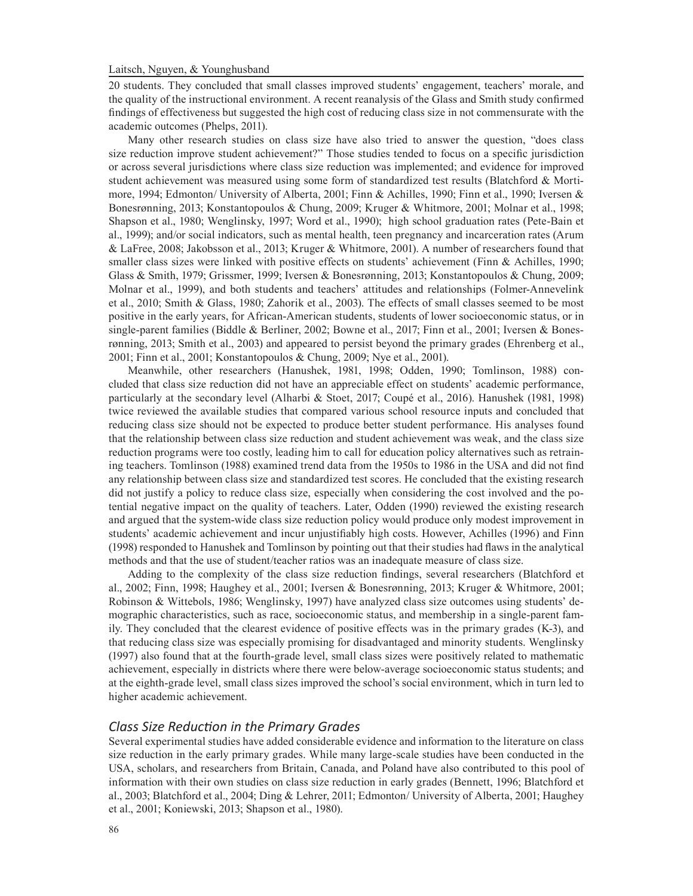20 students. They concluded that small classes improved students' engagement, teachers' morale, and the quality of the instructional environment. A recent reanalysis of the Glass and Smith study confirmed findings of effectiveness but suggested the high cost of reducing class size in not commensurate with the academic outcomes (Phelps, 2011).

Many other research studies on class size have also tried to answer the question, "does class size reduction improve student achievement?" Those studies tended to focus on a specific jurisdiction or across several jurisdictions where class size reduction was implemented; and evidence for improved student achievement was measured using some form of standardized test results (Blatchford & Mortimore, 1994; Edmonton/ University of Alberta, 2001; Finn & Achilles, 1990; Finn et al., 1990; Iversen & Bonesrønning, 2013; Konstantopoulos & Chung, 2009; Kruger & Whitmore, 2001; Molnar et al., 1998; Shapson et al., 1980; Wenglinsky, 1997; Word et al., 1990); high school graduation rates (Pete-Bain et al., 1999); and/or social indicators, such as mental health, teen pregnancy and incarceration rates (Arum & LaFree, 2008; Jakobsson et al., 2013; Kruger & Whitmore, 2001). A number of researchers found that smaller class sizes were linked with positive effects on students' achievement (Finn & Achilles, 1990; Glass & Smith, 1979; Grissmer, 1999; Iversen & Bonesrønning, 2013; Konstantopoulos & Chung, 2009; Molnar et al., 1999), and both students and teachers' attitudes and relationships (Folmer-Annevelink et al., 2010; Smith & Glass, 1980; Zahorik et al., 2003). The effects of small classes seemed to be most positive in the early years, for African-American students, students of lower socioeconomic status, or in single-parent families (Biddle & Berliner, 2002; Bowne et al., 2017; Finn et al., 2001; Iversen & Bonesrønning, 2013; Smith et al., 2003) and appeared to persist beyond the primary grades (Ehrenberg et al., 2001; Finn et al., 2001; Konstantopoulos & Chung, 2009; Nye et al., 2001).

Meanwhile, other researchers (Hanushek, 1981, 1998; Odden, 1990; Tomlinson, 1988) concluded that class size reduction did not have an appreciable effect on students' academic performance, particularly at the secondary level (Alharbi & Stoet, 2017; Coupé et al., 2016). Hanushek (1981, 1998) twice reviewed the available studies that compared various school resource inputs and concluded that reducing class size should not be expected to produce better student performance. His analyses found that the relationship between class size reduction and student achievement was weak, and the class size reduction programs were too costly, leading him to call for education policy alternatives such as retraining teachers. Tomlinson (1988) examined trend data from the 1950s to 1986 in the USA and did not find any relationship between class size and standardized test scores. He concluded that the existing research did not justify a policy to reduce class size, especially when considering the cost involved and the potential negative impact on the quality of teachers. Later, Odden (1990) reviewed the existing research and argued that the system-wide class size reduction policy would produce only modest improvement in students' academic achievement and incur unjustifiably high costs. However, Achilles (1996) and Finn (1998) responded to Hanushek and Tomlinson by pointing out that their studies had flaws in the analytical methods and that the use of student/teacher ratios was an inadequate measure of class size.

Adding to the complexity of the class size reduction findings, several researchers (Blatchford et al., 2002; Finn, 1998; Haughey et al., 2001; Iversen & Bonesrønning, 2013; Kruger & Whitmore, 2001; Robinson & Wittebols, 1986; Wenglinsky, 1997) have analyzed class size outcomes using students' demographic characteristics, such as race, socioeconomic status, and membership in a single-parent family. They concluded that the clearest evidence of positive effects was in the primary grades (K-3), and that reducing class size was especially promising for disadvantaged and minority students. Wenglinsky (1997) also found that at the fourth-grade level, small class sizes were positively related to mathematic achievement, especially in districts where there were below-average socioeconomic status students; and at the eighth-grade level, small class sizes improved the school's social environment, which in turn led to higher academic achievement.

## *Class Size Reduction in the Primary Grades*

Several experimental studies have added considerable evidence and information to the literature on class size reduction in the early primary grades. While many large-scale studies have been conducted in the USA, scholars, and researchers from Britain, Canada, and Poland have also contributed to this pool of information with their own studies on class size reduction in early grades (Bennett, 1996; Blatchford et al., 2003; Blatchford et al., 2004; Ding & Lehrer, 2011; Edmonton/ University of Alberta, 2001; Haughey et al., 2001; Koniewski, 2013; Shapson et al., 1980).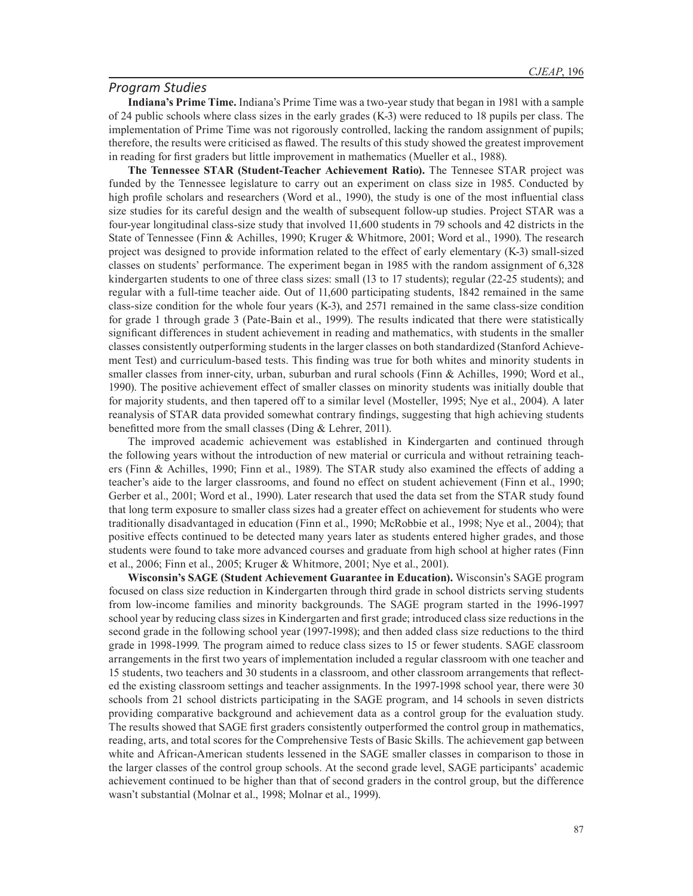#### *Program Studies*

**Indiana's Prime Time.** Indiana's Prime Time was a two-year study that began in 1981 with a sample of 24 public schools where class sizes in the early grades (K-3) were reduced to 18 pupils per class. The implementation of Prime Time was not rigorously controlled, lacking the random assignment of pupils; therefore, the results were criticised as flawed. The results of this study showed the greatest improvement in reading for first graders but little improvement in mathematics (Mueller et al., 1988).

**The Tennessee STAR (Student-Teacher Achievement Ratio).** The Tennesee STAR project was funded by the Tennessee legislature to carry out an experiment on class size in 1985. Conducted by high profile scholars and researchers (Word et al., 1990), the study is one of the most influential class size studies for its careful design and the wealth of subsequent follow-up studies. Project STAR was a four-year longitudinal class-size study that involved 11,600 students in 79 schools and 42 districts in the State of Tennessee (Finn & Achilles, 1990; Kruger & Whitmore, 2001; Word et al., 1990). The research project was designed to provide information related to the effect of early elementary (K-3) small-sized classes on students' performance. The experiment began in 1985 with the random assignment of 6,328 kindergarten students to one of three class sizes: small (13 to 17 students); regular (22-25 students); and regular with a full-time teacher aide. Out of 11,600 participating students, 1842 remained in the same class-size condition for the whole four years (K-3), and 2571 remained in the same class-size condition for grade 1 through grade 3 (Pate-Bain et al., 1999). The results indicated that there were statistically significant differences in student achievement in reading and mathematics, with students in the smaller classes consistently outperforming students in the larger classes on both standardized (Stanford Achievement Test) and curriculum-based tests. This finding was true for both whites and minority students in smaller classes from inner-city, urban, suburban and rural schools (Finn & Achilles, 1990; Word et al., 1990). The positive achievement effect of smaller classes on minority students was initially double that for majority students, and then tapered off to a similar level (Mosteller, 1995; Nye et al., 2004). A later reanalysis of STAR data provided somewhat contrary findings, suggesting that high achieving students benefitted more from the small classes (Ding & Lehrer, 2011).

The improved academic achievement was established in Kindergarten and continued through the following years without the introduction of new material or curricula and without retraining teachers (Finn & Achilles, 1990; Finn et al., 1989). The STAR study also examined the effects of adding a teacher's aide to the larger classrooms, and found no effect on student achievement (Finn et al., 1990; Gerber et al., 2001; Word et al., 1990). Later research that used the data set from the STAR study found that long term exposure to smaller class sizes had a greater effect on achievement for students who were traditionally disadvantaged in education (Finn et al., 1990; McRobbie et al., 1998; Nye et al., 2004); that positive effects continued to be detected many years later as students entered higher grades, and those students were found to take more advanced courses and graduate from high school at higher rates (Finn et al., 2006; Finn et al., 2005; Kruger & Whitmore, 2001; Nye et al., 2001).

**Wisconsin's SAGE (Student Achievement Guarantee in Education).** Wisconsin's SAGE program focused on class size reduction in Kindergarten through third grade in school districts serving students from low-income families and minority backgrounds. The SAGE program started in the 1996-1997 school year by reducing class sizes in Kindergarten and first grade; introduced class size reductions in the second grade in the following school year (1997-1998); and then added class size reductions to the third grade in 1998-1999. The program aimed to reduce class sizes to 15 or fewer students. SAGE classroom arrangements in the first two years of implementation included a regular classroom with one teacher and 15 students, two teachers and 30 students in a classroom, and other classroom arrangements that reflected the existing classroom settings and teacher assignments. In the 1997-1998 school year, there were 30 schools from 21 school districts participating in the SAGE program, and 14 schools in seven districts providing comparative background and achievement data as a control group for the evaluation study. The results showed that SAGE first graders consistently outperformed the control group in mathematics, reading, arts, and total scores for the Comprehensive Tests of Basic Skills. The achievement gap between white and African-American students lessened in the SAGE smaller classes in comparison to those in the larger classes of the control group schools. At the second grade level, SAGE participants' academic achievement continued to be higher than that of second graders in the control group, but the difference wasn't substantial (Molnar et al., 1998; Molnar et al., 1999).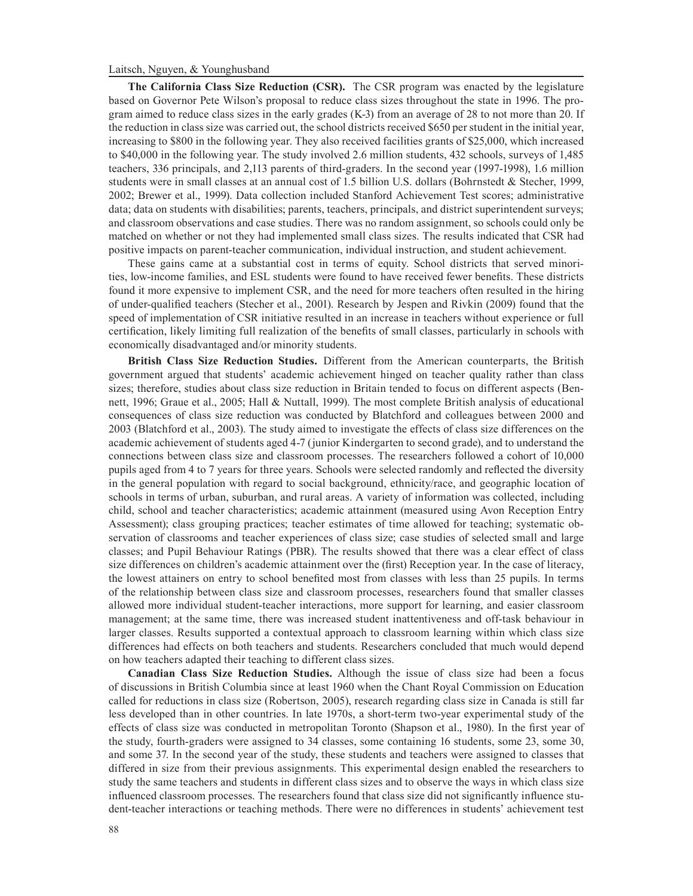**The California Class Size Reduction (CSR).** The CSR program was enacted by the legislature based on Governor Pete Wilson's proposal to reduce class sizes throughout the state in 1996. The program aimed to reduce class sizes in the early grades (K-3) from an average of 28 to not more than 20. If the reduction in class size was carried out, the school districts received \$650 per student in the initial year, increasing to \$800 in the following year. They also received facilities grants of \$25,000, which increased to \$40,000 in the following year. The study involved 2.6 million students, 432 schools, surveys of 1,485 teachers, 336 principals, and 2,113 parents of third-graders. In the second year (1997-1998), 1.6 million students were in small classes at an annual cost of 1.5 billion U.S. dollars (Bohrnstedt & Stecher, 1999, 2002; Brewer et al., 1999). Data collection included Stanford Achievement Test scores; administrative data; data on students with disabilities; parents, teachers, principals, and district superintendent surveys; and classroom observations and case studies. There was no random assignment, so schools could only be matched on whether or not they had implemented small class sizes. The results indicated that CSR had positive impacts on parent-teacher communication, individual instruction, and student achievement.

These gains came at a substantial cost in terms of equity. School districts that served minorities, low-income families, and ESL students were found to have received fewer benefits. These districts found it more expensive to implement CSR, and the need for more teachers often resulted in the hiring of under-qualified teachers (Stecher et al., 2001). Research by Jespen and Rivkin (2009) found that the speed of implementation of CSR initiative resulted in an increase in teachers without experience or full certification, likely limiting full realization of the benefits of small classes, particularly in schools with economically disadvantaged and/or minority students.

**British Class Size Reduction Studies.** Different from the American counterparts, the British government argued that students' academic achievement hinged on teacher quality rather than class sizes; therefore, studies about class size reduction in Britain tended to focus on different aspects (Bennett, 1996; Graue et al., 2005; Hall & Nuttall, 1999). The most complete British analysis of educational consequences of class size reduction was conducted by Blatchford and colleagues between 2000 and 2003 (Blatchford et al., 2003). The study aimed to investigate the effects of class size differences on the academic achievement of students aged 4-7 (junior Kindergarten to second grade), and to understand the connections between class size and classroom processes. The researchers followed a cohort of 10,000 pupils aged from 4 to 7 years for three years. Schools were selected randomly and reflected the diversity in the general population with regard to social background, ethnicity/race, and geographic location of schools in terms of urban, suburban, and rural areas. A variety of information was collected, including child, school and teacher characteristics; academic attainment (measured using Avon Reception Entry Assessment); class grouping practices; teacher estimates of time allowed for teaching; systematic observation of classrooms and teacher experiences of class size; case studies of selected small and large classes; and Pupil Behaviour Ratings (PBR). The results showed that there was a clear effect of class size differences on children's academic attainment over the (first) Reception year. In the case of literacy, the lowest attainers on entry to school benefited most from classes with less than 25 pupils. In terms of the relationship between class size and classroom processes, researchers found that smaller classes allowed more individual student-teacher interactions, more support for learning, and easier classroom management; at the same time, there was increased student inattentiveness and off-task behaviour in larger classes. Results supported a contextual approach to classroom learning within which class size differences had effects on both teachers and students. Researchers concluded that much would depend on how teachers adapted their teaching to different class sizes.

**Canadian Class Size Reduction Studies.** Although the issue of class size had been a focus of discussions in British Columbia since at least 1960 when the Chant Royal Commission on Education called for reductions in class size (Robertson, 2005), research regarding class size in Canada is still far less developed than in other countries. In late 1970s, a short-term two-year experimental study of the effects of class size was conducted in metropolitan Toronto (Shapson et al., 1980). In the first year of the study, fourth-graders were assigned to 34 classes, some containing 16 students, some 23, some 30, and some 37. In the second year of the study, these students and teachers were assigned to classes that differed in size from their previous assignments. This experimental design enabled the researchers to study the same teachers and students in different class sizes and to observe the ways in which class size influenced classroom processes. The researchers found that class size did not significantly influence student-teacher interactions or teaching methods. There were no differences in students' achievement test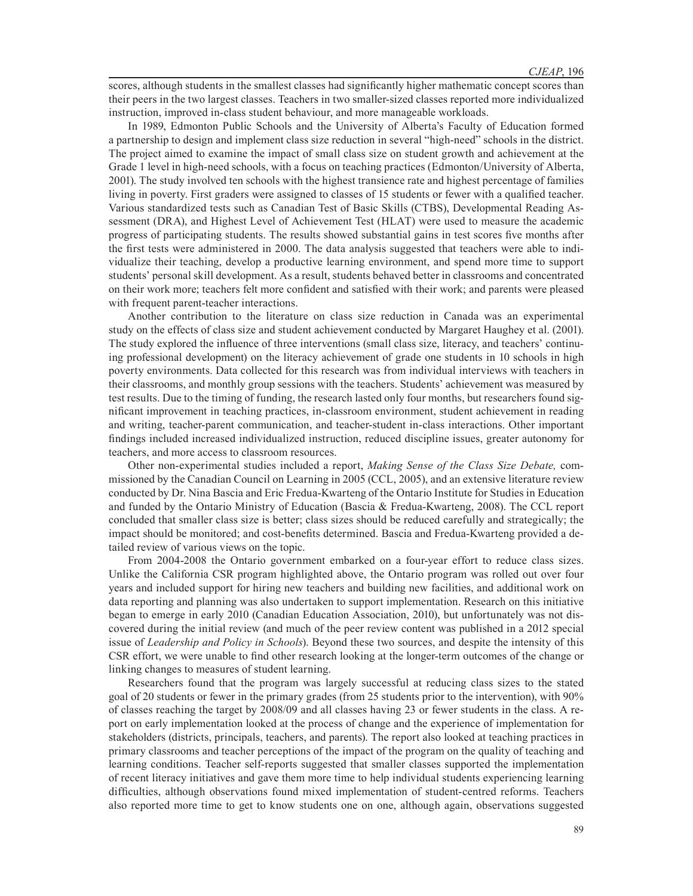scores, although students in the smallest classes had significantly higher mathematic concept scores than their peers in the two largest classes. Teachers in two smaller-sized classes reported more individualized instruction, improved in-class student behaviour, and more manageable workloads.

In 1989, Edmonton Public Schools and the University of Alberta's Faculty of Education formed a partnership to design and implement class size reduction in several "high-need" schools in the district. The project aimed to examine the impact of small class size on student growth and achievement at the Grade 1 level in high-need schools, with a focus on teaching practices (Edmonton/University of Alberta, 2001). The study involved ten schools with the highest transience rate and highest percentage of families living in poverty. First graders were assigned to classes of 15 students or fewer with a qualified teacher. Various standardized tests such as Canadian Test of Basic Skills (CTBS), Developmental Reading Assessment (DRA), and Highest Level of Achievement Test (HLAT) were used to measure the academic progress of participating students. The results showed substantial gains in test scores five months after the first tests were administered in 2000. The data analysis suggested that teachers were able to individualize their teaching, develop a productive learning environment, and spend more time to support students' personal skill development. As a result, students behaved better in classrooms and concentrated on their work more; teachers felt more confident and satisfied with their work; and parents were pleased with frequent parent-teacher interactions.

Another contribution to the literature on class size reduction in Canada was an experimental study on the effects of class size and student achievement conducted by Margaret Haughey et al. (2001). The study explored the influence of three interventions (small class size, literacy, and teachers' continuing professional development) on the literacy achievement of grade one students in 10 schools in high poverty environments. Data collected for this research was from individual interviews with teachers in their classrooms, and monthly group sessions with the teachers. Students' achievement was measured by test results. Due to the timing of funding, the research lasted only four months, but researchers found significant improvement in teaching practices, in-classroom environment, student achievement in reading and writing, teacher-parent communication, and teacher-student in-class interactions. Other important findings included increased individualized instruction, reduced discipline issues, greater autonomy for teachers, and more access to classroom resources.

Other non-experimental studies included a report, *Making Sense of the Class Size Debate,* commissioned by the Canadian Council on Learning in 2005 (CCL, 2005), and an extensive literature review conducted by Dr. Nina Bascia and Eric Fredua-Kwarteng of the Ontario Institute for Studies in Education and funded by the Ontario Ministry of Education (Bascia & Fredua-Kwarteng, 2008). The CCL report concluded that smaller class size is better; class sizes should be reduced carefully and strategically; the impact should be monitored; and cost-benefits determined. Bascia and Fredua-Kwarteng provided a detailed review of various views on the topic.

From 2004-2008 the Ontario government embarked on a four-year effort to reduce class sizes. Unlike the California CSR program highlighted above, the Ontario program was rolled out over four years and included support for hiring new teachers and building new facilities, and additional work on data reporting and planning was also undertaken to support implementation. Research on this initiative began to emerge in early 2010 (Canadian Education Association, 2010), but unfortunately was not discovered during the initial review (and much of the peer review content was published in a 2012 special issue of *Leadership and Policy in Schools*). Beyond these two sources, and despite the intensity of this CSR effort, we were unable to find other research looking at the longer-term outcomes of the change or linking changes to measures of student learning.

Researchers found that the program was largely successful at reducing class sizes to the stated goal of 20 students or fewer in the primary grades (from 25 students prior to the intervention), with 90% of classes reaching the target by 2008/09 and all classes having 23 or fewer students in the class. A report on early implementation looked at the process of change and the experience of implementation for stakeholders (districts, principals, teachers, and parents). The report also looked at teaching practices in primary classrooms and teacher perceptions of the impact of the program on the quality of teaching and learning conditions. Teacher self-reports suggested that smaller classes supported the implementation of recent literacy initiatives and gave them more time to help individual students experiencing learning difficulties, although observations found mixed implementation of student-centred reforms. Teachers also reported more time to get to know students one on one, although again, observations suggested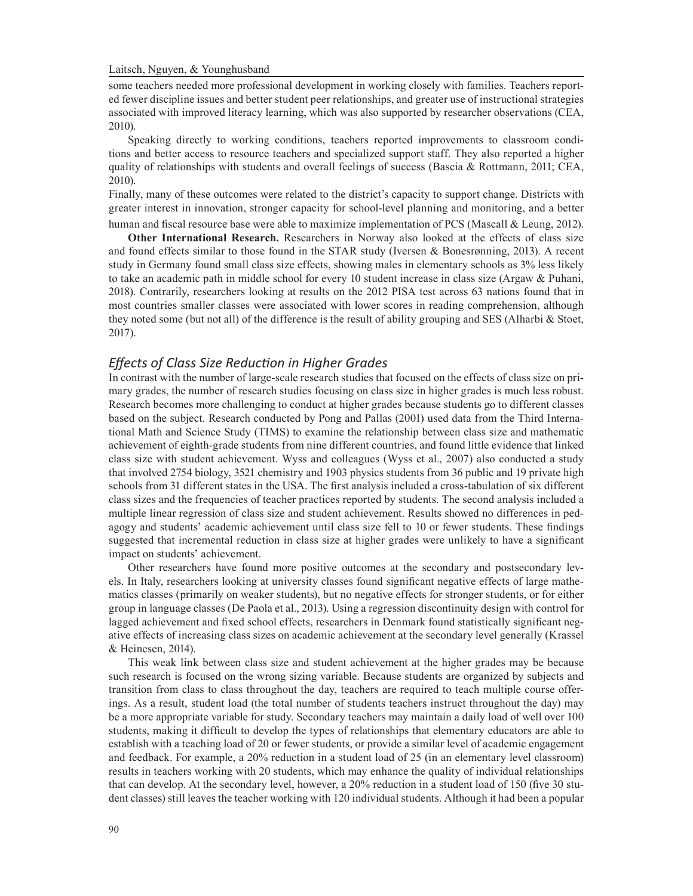some teachers needed more professional development in working closely with families. Teachers reported fewer discipline issues and better student peer relationships, and greater use of instructional strategies associated with improved literacy learning, which was also supported by researcher observations (CEA, 2010).

Speaking directly to working conditions, teachers reported improvements to classroom conditions and better access to resource teachers and specialized support staff. They also reported a higher quality of relationships with students and overall feelings of success (Bascia & Rottmann, 2011; CEA, 2010).

Finally, many of these outcomes were related to the district's capacity to support change. Districts with greater interest in innovation, stronger capacity for school-level planning and monitoring, and a better human and fiscal resource base were able to maximize implementation of PCS (Mascall & Leung, 2012).

**Other International Research.** Researchers in Norway also looked at the effects of class size and found effects similar to those found in the STAR study (Iversen & Bonesrønning, 2013). A recent study in Germany found small class size effects, showing males in elementary schools as 3% less likely to take an academic path in middle school for every 10 student increase in class size (Argaw & Puhani, 2018). Contrarily, researchers looking at results on the 2012 PISA test across 63 nations found that in most countries smaller classes were associated with lower scores in reading comprehension, although they noted some (but not all) of the difference is the result of ability grouping and SES (Alharbi & Stoet, 2017).

## *Effects of Class Size Reduction in Higher Grades*

In contrast with the number of large-scale research studies that focused on the effects of class size on primary grades, the number of research studies focusing on class size in higher grades is much less robust. Research becomes more challenging to conduct at higher grades because students go to different classes based on the subject. Research conducted by Pong and Pallas (2001) used data from the Third International Math and Science Study (TIMS) to examine the relationship between class size and mathematic achievement of eighth-grade students from nine different countries, and found little evidence that linked class size with student achievement. Wyss and colleagues (Wyss et al., 2007) also conducted a study that involved 2754 biology, 3521 chemistry and 1903 physics students from 36 public and 19 private high schools from 31 different states in the USA. The first analysis included a cross-tabulation of six different class sizes and the frequencies of teacher practices reported by students. The second analysis included a multiple linear regression of class size and student achievement. Results showed no differences in pedagogy and students' academic achievement until class size fell to 10 or fewer students. These findings suggested that incremental reduction in class size at higher grades were unlikely to have a significant impact on students' achievement.

Other researchers have found more positive outcomes at the secondary and postsecondary levels. In Italy, researchers looking at university classes found significant negative effects of large mathematics classes (primarily on weaker students), but no negative effects for stronger students, or for either group in language classes (De Paola et al., 2013). Using a regression discontinuity design with control for lagged achievement and fixed school effects, researchers in Denmark found statistically significant negative effects of increasing class sizes on academic achievement at the secondary level generally (Krassel & Heinesen, 2014).

This weak link between class size and student achievement at the higher grades may be because such research is focused on the wrong sizing variable. Because students are organized by subjects and transition from class to class throughout the day, teachers are required to teach multiple course offerings. As a result, student load (the total number of students teachers instruct throughout the day) may be a more appropriate variable for study. Secondary teachers may maintain a daily load of well over 100 students, making it difficult to develop the types of relationships that elementary educators are able to establish with a teaching load of 20 or fewer students, or provide a similar level of academic engagement and feedback. For example, a 20% reduction in a student load of 25 (in an elementary level classroom) results in teachers working with 20 students, which may enhance the quality of individual relationships that can develop. At the secondary level, however, a 20% reduction in a student load of 150 (five 30 student classes) still leaves the teacher working with 120 individual students. Although it had been a popular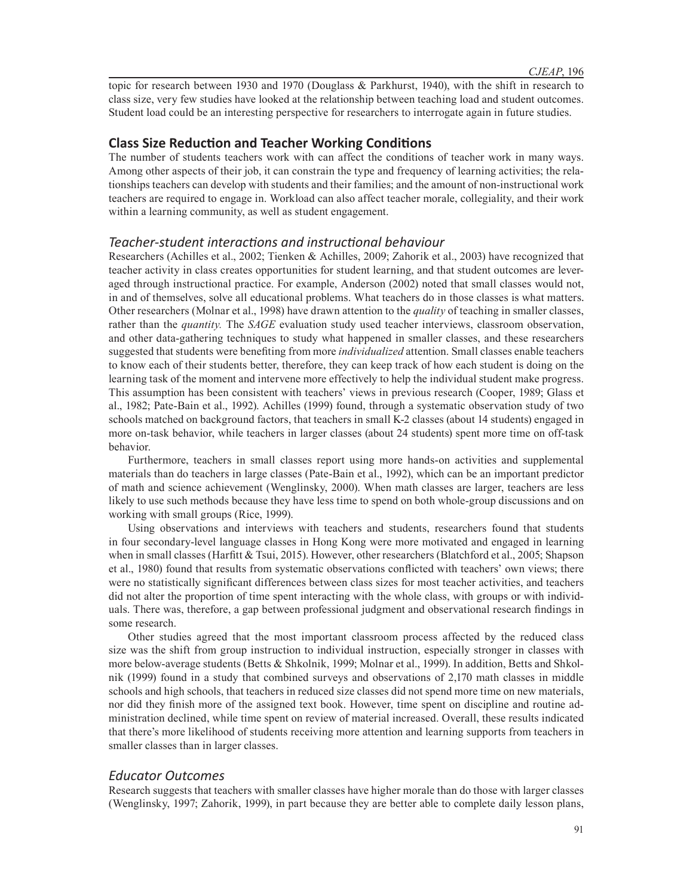topic for research between 1930 and 1970 (Douglass & Parkhurst, 1940), with the shift in research to class size, very few studies have looked at the relationship between teaching load and student outcomes. Student load could be an interesting perspective for researchers to interrogate again in future studies.

# **Class Size Reduction and Teacher Working Conditions**

The number of students teachers work with can affect the conditions of teacher work in many ways. Among other aspects of their job, it can constrain the type and frequency of learning activities; the relationships teachers can develop with students and their families; and the amount of non-instructional work teachers are required to engage in. Workload can also affect teacher morale, collegiality, and their work within a learning community, as well as student engagement.

#### *Teacher-student interactions and instructional behaviour*

Researchers (Achilles et al., 2002; Tienken & Achilles, 2009; Zahorik et al., 2003) have recognized that teacher activity in class creates opportunities for student learning, and that student outcomes are leveraged through instructional practice. For example, Anderson (2002) noted that small classes would not, in and of themselves, solve all educational problems. What teachers do in those classes is what matters. Other researchers (Molnar et al., 1998) have drawn attention to the *quality* of teaching in smaller classes, rather than the *quantity.* The *SAGE* evaluation study used teacher interviews, classroom observation, and other data-gathering techniques to study what happened in smaller classes, and these researchers suggested that students were benefiting from more *individualized* attention. Small classes enable teachers to know each of their students better, therefore, they can keep track of how each student is doing on the learning task of the moment and intervene more effectively to help the individual student make progress. This assumption has been consistent with teachers' views in previous research (Cooper, 1989; Glass et al., 1982; Pate-Bain et al., 1992). Achilles (1999) found, through a systematic observation study of two schools matched on background factors, that teachers in small K-2 classes (about 14 students) engaged in more on-task behavior, while teachers in larger classes (about 24 students) spent more time on off-task behavior.

Furthermore, teachers in small classes report using more hands-on activities and supplemental materials than do teachers in large classes (Pate-Bain et al., 1992), which can be an important predictor of math and science achievement (Wenglinsky, 2000). When math classes are larger, teachers are less likely to use such methods because they have less time to spend on both whole-group discussions and on working with small groups (Rice, 1999).

Using observations and interviews with teachers and students, researchers found that students in four secondary-level language classes in Hong Kong were more motivated and engaged in learning when in small classes (Harfitt & Tsui, 2015). However, other researchers (Blatchford et al., 2005; Shapson et al., 1980) found that results from systematic observations conflicted with teachers' own views; there were no statistically significant differences between class sizes for most teacher activities, and teachers did not alter the proportion of time spent interacting with the whole class, with groups or with individuals. There was, therefore, a gap between professional judgment and observational research findings in some research.

Other studies agreed that the most important classroom process affected by the reduced class size was the shift from group instruction to individual instruction, especially stronger in classes with more below-average students (Betts & Shkolnik, 1999; Molnar et al., 1999). In addition, Betts and Shkolnik (1999) found in a study that combined surveys and observations of 2,170 math classes in middle schools and high schools, that teachers in reduced size classes did not spend more time on new materials, nor did they finish more of the assigned text book. However, time spent on discipline and routine administration declined, while time spent on review of material increased. Overall, these results indicated that there's more likelihood of students receiving more attention and learning supports from teachers in smaller classes than in larger classes.

## *Educator Outcomes*

Research suggests that teachers with smaller classes have higher morale than do those with larger classes (Wenglinsky, 1997; Zahorik, 1999), in part because they are better able to complete daily lesson plans,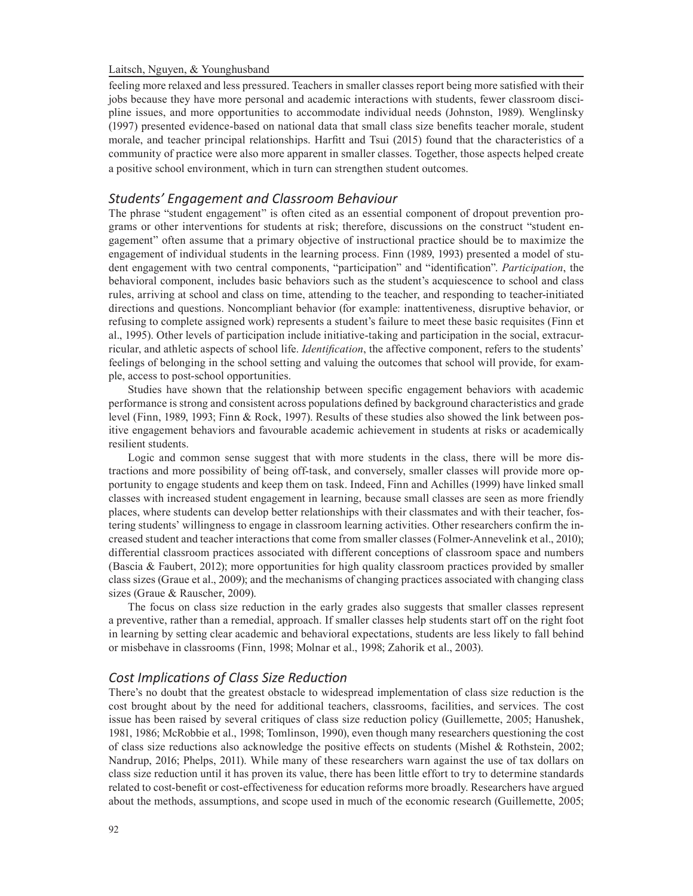feeling more relaxed and less pressured. Teachers in smaller classes report being more satisfied with their jobs because they have more personal and academic interactions with students, fewer classroom discipline issues, and more opportunities to accommodate individual needs (Johnston, 1989). Wenglinsky (1997) presented evidence-based on national data that small class size benefits teacher morale, student morale, and teacher principal relationships. Harfitt and Tsui (2015) found that the characteristics of a community of practice were also more apparent in smaller classes. Together, those aspects helped create a positive school environment, which in turn can strengthen student outcomes.

### *Students' Engagement and Classroom Behaviour*

The phrase "student engagement" is often cited as an essential component of dropout prevention programs or other interventions for students at risk; therefore, discussions on the construct "student engagement" often assume that a primary objective of instructional practice should be to maximize the engagement of individual students in the learning process. Finn (1989, 1993) presented a model of student engagement with two central components, "participation" and "identification". *Participation*, the behavioral component, includes basic behaviors such as the student's acquiescence to school and class rules, arriving at school and class on time, attending to the teacher, and responding to teacher-initiated directions and questions. Noncompliant behavior (for example: inattentiveness, disruptive behavior, or refusing to complete assigned work) represents a student's failure to meet these basic requisites (Finn et al., 1995). Other levels of participation include initiative-taking and participation in the social, extracurricular, and athletic aspects of school life. *Identification*, the affective component, refers to the students' feelings of belonging in the school setting and valuing the outcomes that school will provide, for example, access to post-school opportunities.

Studies have shown that the relationship between specific engagement behaviors with academic performance is strong and consistent across populations defined by background characteristics and grade level (Finn, 1989, 1993; Finn & Rock, 1997). Results of these studies also showed the link between positive engagement behaviors and favourable academic achievement in students at risks or academically resilient students.

Logic and common sense suggest that with more students in the class, there will be more distractions and more possibility of being off-task, and conversely, smaller classes will provide more opportunity to engage students and keep them on task. Indeed, Finn and Achilles (1999) have linked small classes with increased student engagement in learning, because small classes are seen as more friendly places, where students can develop better relationships with their classmates and with their teacher, fostering students' willingness to engage in classroom learning activities. Other researchers confirm the increased student and teacher interactions that come from smaller classes (Folmer-Annevelink et al., 2010); differential classroom practices associated with different conceptions of classroom space and numbers (Bascia & Faubert, 2012); more opportunities for high quality classroom practices provided by smaller class sizes (Graue et al., 2009); and the mechanisms of changing practices associated with changing class sizes (Graue & Rauscher, 2009).

The focus on class size reduction in the early grades also suggests that smaller classes represent a preventive, rather than a remedial, approach. If smaller classes help students start off on the right foot in learning by setting clear academic and behavioral expectations, students are less likely to fall behind or misbehave in classrooms (Finn, 1998; Molnar et al., 1998; Zahorik et al., 2003).

#### *Cost Implications of Class Size Reduction*

There's no doubt that the greatest obstacle to widespread implementation of class size reduction is the cost brought about by the need for additional teachers, classrooms, facilities, and services. The cost issue has been raised by several critiques of class size reduction policy (Guillemette, 2005; Hanushek, 1981, 1986; McRobbie et al., 1998; Tomlinson, 1990), even though many researchers questioning the cost of class size reductions also acknowledge the positive effects on students (Mishel & Rothstein, 2002; Nandrup, 2016; Phelps, 2011). While many of these researchers warn against the use of tax dollars on class size reduction until it has proven its value, there has been little effort to try to determine standards related to cost-benefit or cost-effectiveness for education reforms more broadly. Researchers have argued about the methods, assumptions, and scope used in much of the economic research (Guillemette, 2005;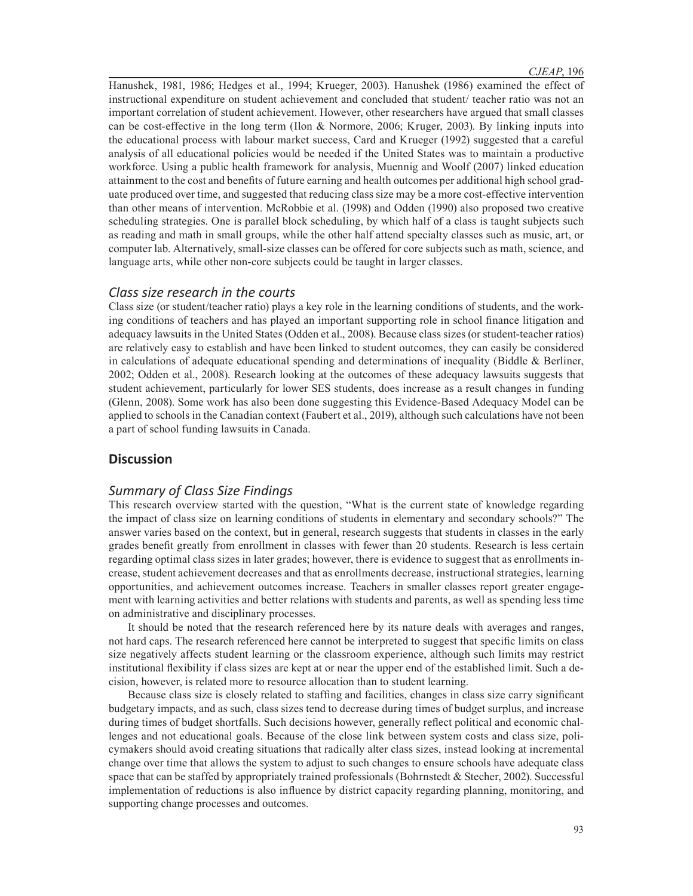Hanushek, 1981, 1986; Hedges et al., 1994; Krueger, 2003). Hanushek (1986) examined the effect of instructional expenditure on student achievement and concluded that student/ teacher ratio was not an important correlation of student achievement. However, other researchers have argued that small classes can be cost-effective in the long term (Ilon & Normore, 2006; Kruger, 2003). By linking inputs into the educational process with labour market success, Card and Krueger (1992) suggested that a careful analysis of all educational policies would be needed if the United States was to maintain a productive workforce. Using a public health framework for analysis, Muennig and Woolf (2007) linked education attainment to the cost and benefits of future earning and health outcomes per additional high school graduate produced over time, and suggested that reducing class size may be a more cost-effective intervention than other means of intervention. McRobbie et al. (1998) and Odden (1990) also proposed two creative scheduling strategies. One is parallel block scheduling, by which half of a class is taught subjects such as reading and math in small groups, while the other half attend specialty classes such as music, art, or computer lab. Alternatively, small-size classes can be offered for core subjects such as math, science, and language arts, while other non-core subjects could be taught in larger classes.

## *Class size research in the courts*

Class size (or student/teacher ratio) plays a key role in the learning conditions of students, and the working conditions of teachers and has played an important supporting role in school finance litigation and adequacy lawsuits in the United States (Odden et al., 2008). Because class sizes (or student-teacher ratios) are relatively easy to establish and have been linked to student outcomes, they can easily be considered in calculations of adequate educational spending and determinations of inequality (Biddle  $\&$  Berliner, 2002; Odden et al., 2008). Research looking at the outcomes of these adequacy lawsuits suggests that student achievement, particularly for lower SES students, does increase as a result changes in funding (Glenn, 2008). Some work has also been done suggesting this Evidence-Based Adequacy Model can be applied to schools in the Canadian context (Faubert et al., 2019), although such calculations have not been a part of school funding lawsuits in Canada.

# **Discussion**

## *Summary of Class Size Findings*

This research overview started with the question, "What is the current state of knowledge regarding the impact of class size on learning conditions of students in elementary and secondary schools?" The answer varies based on the context, but in general, research suggests that students in classes in the early grades benefit greatly from enrollment in classes with fewer than 20 students. Research is less certain regarding optimal class sizes in later grades; however, there is evidence to suggest that as enrollments increase, student achievement decreases and that as enrollments decrease, instructional strategies, learning opportunities, and achievement outcomes increase. Teachers in smaller classes report greater engagement with learning activities and better relations with students and parents, as well as spending less time on administrative and disciplinary processes.

It should be noted that the research referenced here by its nature deals with averages and ranges, not hard caps. The research referenced here cannot be interpreted to suggest that specific limits on class size negatively affects student learning or the classroom experience, although such limits may restrict institutional flexibility if class sizes are kept at or near the upper end of the established limit. Such a decision, however, is related more to resource allocation than to student learning.

Because class size is closely related to staffing and facilities, changes in class size carry significant budgetary impacts, and as such, class sizes tend to decrease during times of budget surplus, and increase during times of budget shortfalls. Such decisions however, generally reflect political and economic challenges and not educational goals. Because of the close link between system costs and class size, policymakers should avoid creating situations that radically alter class sizes, instead looking at incremental change over time that allows the system to adjust to such changes to ensure schools have adequate class space that can be staffed by appropriately trained professionals (Bohrnstedt & Stecher, 2002). Successful implementation of reductions is also influence by district capacity regarding planning, monitoring, and supporting change processes and outcomes.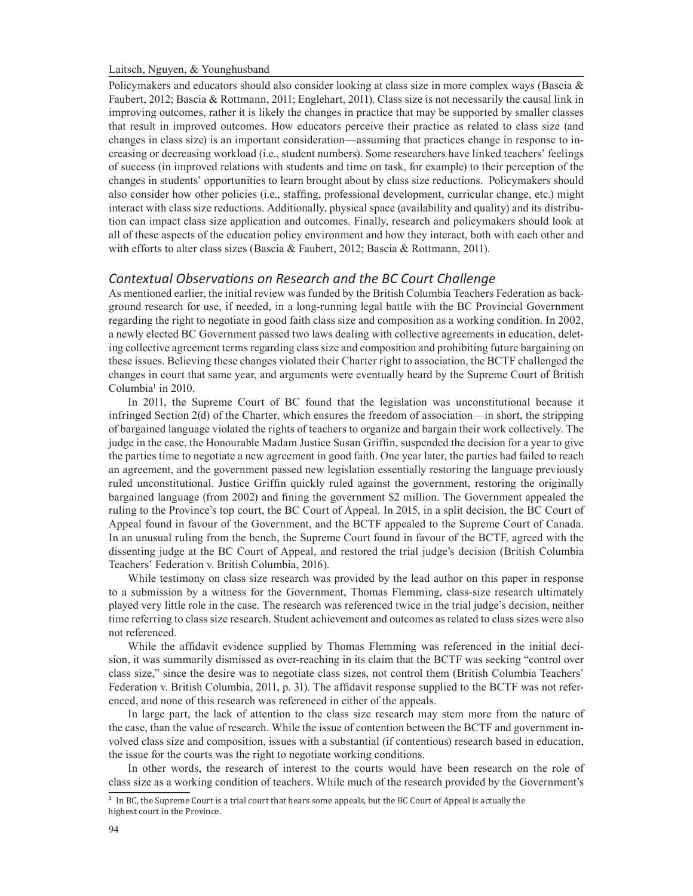Policymakers and educators should also consider looking at class size in more complex ways (Bascia & Faubert, 2012; Bascia & Rottmann, 2011; Englehart, 2011). Class size is not necessarily the causal link in improving outcomes, rather it is likely the changes in practice that may be supported by smaller classes that result in improved outcomes. How educators perceive their practice as related to class size (and changes in class size) is an important consideration—assuming that practices change in response to increasing or decreasing workload (i.e., student numbers). Some researchers have linked teachers' feelings of success (in improved relations with students and time on task, for example) to their perception of the changes in students' opportunities to learn brought about by class size reductions. Policymakers should also consider how other policies (i.e., staffing, professional development, curricular change, etc.) might interact with class size reductions. Additionally, physical space (availability and quality) and its distribution can impact class size application and outcomes. Finally, research and policymakers should look at all of these aspects of the education policy environment and how they interact, both with each other and with efforts to alter class sizes (Bascia & Faubert, 2012; Bascia & Rottmann, 2011).

# *Contextual Observations on Research and the BC Court Challenge*

As mentioned earlier, the initial review was funded by the British Columbia Teachers Federation as background research for use, if needed, in a long-running legal battle with the BC Provincial Government regarding the right to negotiate in good faith class size and composition as a working condition. In 2002, a newly elected BC Government passed two laws dealing with collective agreements in education, deleting collective agreement terms regarding class size and composition and prohibiting future bargaining on these issues. Believing these changes violated their Charter right to association, the BCTF challenged the changes in court that same year, and arguments were eventually heard by the Supreme Court of British Columbia<sup>1</sup> in 2010.

In 2011, the Supreme Court of BC found that the legislation was unconstitutional because it infringed Section 2(d) of the Charter, which ensures the freedom of association—in short, the stripping of bargained language violated the rights of teachers to organize and bargain their work collectively. The judge in the case, the Honourable Madam Justice Susan Griffin, suspended the decision for a year to give the parties time to negotiate a new agreement in good faith. One year later, the parties had failed to reach an agreement, and the government passed new legislation essentially restoring the language previously ruled unconstitutional. Justice Griffin quickly ruled against the government, restoring the originally bargained language (from 2002) and fining the government \$2 million. The Government appealed the ruling to the Province's top court, the BC Court of Appeal. In 2015, in a split decision, the BC Court of Appeal found in favour of the Government, and the BCTF appealed to the Supreme Court of Canada. In an unusual ruling from the bench, the Supreme Court found in favour of the BCTF, agreed with the dissenting judge at the BC Court of Appeal, and restored the trial judge's decision (British Columbia Teachers' Federation v. British Columbia, 2016).

While testimony on class size research was provided by the lead author on this paper in response to a submission by a witness for the Government, Thomas Flemming, class-size research ultimately played very little role in the case. The research was referenced twice in the trial judge's decision, neither time referring to class size research. Student achievement and outcomes as related to class sizes were also not referenced.

While the affidavit evidence supplied by Thomas Flemming was referenced in the initial decision, it was summarily dismissed as over-reaching in its claim that the BCTF was seeking "control over class size," since the desire was to negotiate class sizes, not control them (British Columbia Teachers' Federation v. British Columbia, 2011, p. 31). The affidavit response supplied to the BCTF was not referenced, and none of this research was referenced in either of the appeals.

In large part, the lack of attention to the class size research may stem more from the nature of the case, than the value of research. While the issue of contention between the BCTF and government involved class size and composition, issues with a substantial (if contentious) research based in education, the issue for the courts was the right to negotiate working conditions.

In other words, the research of interest to the courts would have been research on the role of class size as a working condition of teachers. While much of the research provided by the Government's

 $1$  In BC, the Supreme Court is a trial court that hears some appeals, but the BC Court of Appeal is actually the highest court in the Province.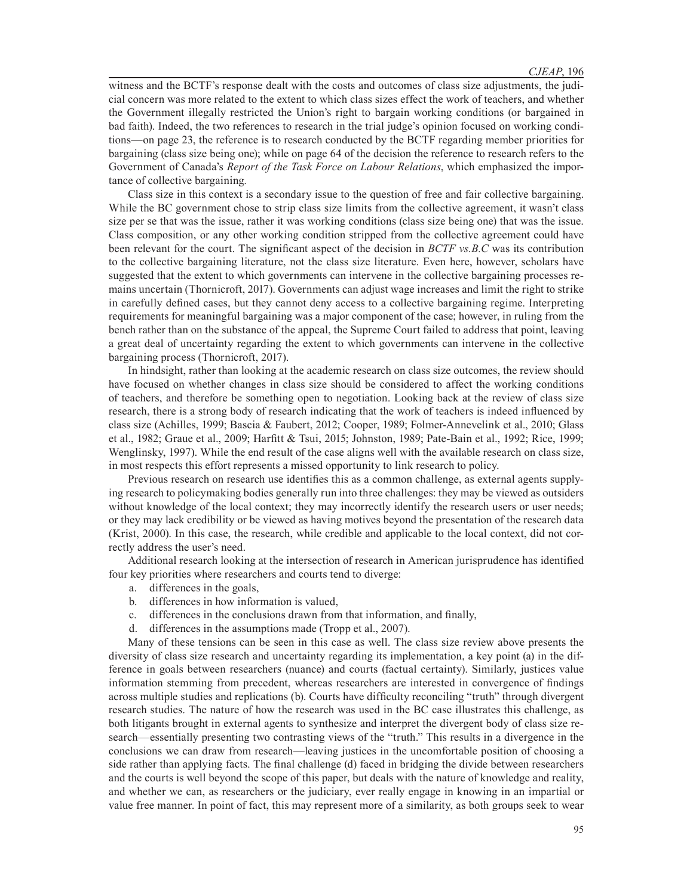witness and the BCTF's response dealt with the costs and outcomes of class size adjustments, the judicial concern was more related to the extent to which class sizes effect the work of teachers, and whether the Government illegally restricted the Union's right to bargain working conditions (or bargained in bad faith). Indeed, the two references to research in the trial judge's opinion focused on working conditions—on page 23, the reference is to research conducted by the BCTF regarding member priorities for bargaining (class size being one); while on page 64 of the decision the reference to research refers to the Government of Canada's *Report of the Task Force on Labour Relations*, which emphasized the importance of collective bargaining*.*

Class size in this context is a secondary issue to the question of free and fair collective bargaining. While the BC government chose to strip class size limits from the collective agreement, it wasn't class size per se that was the issue, rather it was working conditions (class size being one) that was the issue. Class composition, or any other working condition stripped from the collective agreement could have been relevant for the court. The significant aspect of the decision in *BCTF vs.B.C* was its contribution to the collective bargaining literature, not the class size literature. Even here, however, scholars have suggested that the extent to which governments can intervene in the collective bargaining processes remains uncertain (Thornicroft, 2017). Governments can adjust wage increases and limit the right to strike in carefully defined cases, but they cannot deny access to a collective bargaining regime. Interpreting requirements for meaningful bargaining was a major component of the case; however, in ruling from the bench rather than on the substance of the appeal, the Supreme Court failed to address that point, leaving a great deal of uncertainty regarding the extent to which governments can intervene in the collective bargaining process (Thornicroft, 2017).

In hindsight, rather than looking at the academic research on class size outcomes, the review should have focused on whether changes in class size should be considered to affect the working conditions of teachers, and therefore be something open to negotiation. Looking back at the review of class size research, there is a strong body of research indicating that the work of teachers is indeed influenced by class size (Achilles, 1999; Bascia & Faubert, 2012; Cooper, 1989; Folmer-Annevelink et al., 2010; Glass et al., 1982; Graue et al., 2009; Harfitt & Tsui, 2015; Johnston, 1989; Pate-Bain et al., 1992; Rice, 1999; Wenglinsky, 1997). While the end result of the case aligns well with the available research on class size, in most respects this effort represents a missed opportunity to link research to policy.

Previous research on research use identifies this as a common challenge, as external agents supplying research to policymaking bodies generally run into three challenges: they may be viewed as outsiders without knowledge of the local context; they may incorrectly identify the research users or user needs; or they may lack credibility or be viewed as having motives beyond the presentation of the research data (Krist, 2000). In this case, the research, while credible and applicable to the local context, did not correctly address the user's need.

Additional research looking at the intersection of research in American jurisprudence has identified four key priorities where researchers and courts tend to diverge:

- a. differences in the goals,
- b. differences in how information is valued,
- c. differences in the conclusions drawn from that information, and finally,
- d. differences in the assumptions made (Tropp et al., 2007).

Many of these tensions can be seen in this case as well. The class size review above presents the diversity of class size research and uncertainty regarding its implementation, a key point (a) in the difference in goals between researchers (nuance) and courts (factual certainty). Similarly, justices value information stemming from precedent, whereas researchers are interested in convergence of findings across multiple studies and replications (b). Courts have difficulty reconciling "truth" through divergent research studies. The nature of how the research was used in the BC case illustrates this challenge, as both litigants brought in external agents to synthesize and interpret the divergent body of class size research—essentially presenting two contrasting views of the "truth." This results in a divergence in the conclusions we can draw from research—leaving justices in the uncomfortable position of choosing a side rather than applying facts. The final challenge (d) faced in bridging the divide between researchers and the courts is well beyond the scope of this paper, but deals with the nature of knowledge and reality, and whether we can, as researchers or the judiciary, ever really engage in knowing in an impartial or value free manner. In point of fact, this may represent more of a similarity, as both groups seek to wear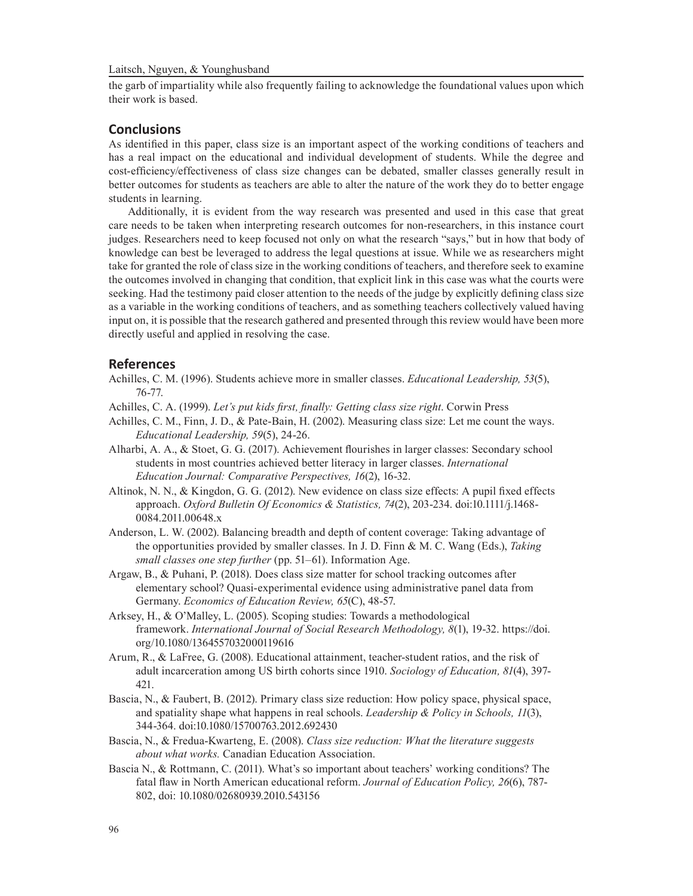the garb of impartiality while also frequently failing to acknowledge the foundational values upon which their work is based.

## **Conclusions**

As identified in this paper, class size is an important aspect of the working conditions of teachers and has a real impact on the educational and individual development of students. While the degree and cost-efficiency/effectiveness of class size changes can be debated, smaller classes generally result in better outcomes for students as teachers are able to alter the nature of the work they do to better engage students in learning.

Additionally, it is evident from the way research was presented and used in this case that great care needs to be taken when interpreting research outcomes for non-researchers, in this instance court judges. Researchers need to keep focused not only on what the research "says," but in how that body of knowledge can best be leveraged to address the legal questions at issue. While we as researchers might take for granted the role of class size in the working conditions of teachers, and therefore seek to examine the outcomes involved in changing that condition, that explicit link in this case was what the courts were seeking. Had the testimony paid closer attention to the needs of the judge by explicitly defining class size as a variable in the working conditions of teachers, and as something teachers collectively valued having input on, it is possible that the research gathered and presented through this review would have been more directly useful and applied in resolving the case.

#### **References**

- Achilles, C. M. (1996). Students achieve more in smaller classes. *Educational Leadership, 53*(5), 76-77.
- Achilles, C. A. (1999). *Let's put kids first, finally: Getting class size right*. Corwin Press
- Achilles, C. M., Finn, J. D., & Pate-Bain, H. (2002). Measuring class size: Let me count the ways. *Educational Leadership, 59*(5), 24-26.
- Alharbi, A. A., & Stoet, G. G. (2017). Achievement flourishes in larger classes: Secondary school students in most countries achieved better literacy in larger classes. *International Education Journal: Comparative Perspectives, 16*(2), 16-32.
- Altinok, N. N., & Kingdon, G. G. (2012). New evidence on class size effects: A pupil fixed effects approach. *Oxford Bulletin Of Economics & Statistics, 74*(2), 203-234. doi:10.1111/j.1468- 0084.2011.00648.x
- Anderson, L. W. (2002). Balancing breadth and depth of content coverage: Taking advantage of the opportunities provided by smaller classes. In J. D. Finn & M. C. Wang (Eds.), *Taking small classes one step further* (pp. 51–61). Information Age.
- Argaw, B., & Puhani, P. (2018). Does class size matter for school tracking outcomes after elementary school? Quasi-experimental evidence using administrative panel data from Germany. *Economics of Education Review, 65*(C), 48-57.
- Arksey, H., & O'Malley, L. (2005). Scoping studies: Towards a methodological framework. *International Journal of Social Research Methodology, 8*(1), 19-32. https://doi. org/10.1080/1364557032000119616
- Arum, R., & LaFree, G. (2008). Educational attainment, teacher-student ratios, and the risk of adult incarceration among US birth cohorts since 1910. *Sociology of Education, 81*(4), 397- 421.
- Bascia, N., & Faubert, B. (2012). Primary class size reduction: How policy space, physical space, and spatiality shape what happens in real schools. *Leadership & Policy in Schools, 11*(3), 344-364. doi:10.1080/15700763.2012.692430
- Bascia, N., & Fredua-Kwarteng, E. (2008). *Class size reduction: What the literature suggests about what works.* Canadian Education Association.
- Bascia N., & Rottmann, C. (2011). What's so important about teachers' working conditions? The fatal flaw in North American educational reform. *Journal of Education Policy, 26*(6), 787- 802, doi: 10.1080/02680939.2010.543156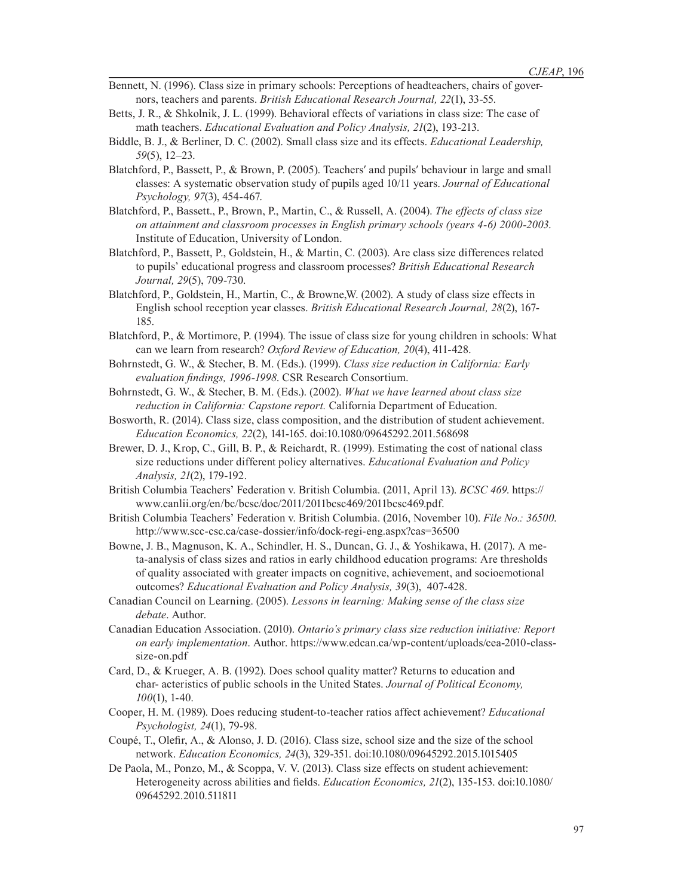- Bennett, N. (1996). Class size in primary schools: Perceptions of headteachers, chairs of governors, teachers and parents. *British Educational Research Journal, 22*(1), 33-55.
- Betts, J. R., & Shkolnik, J. L. (1999). Behavioral effects of variations in class size: The case of math teachers. *Educational Evaluation and Policy Analysis, 21*(2), 193-213.
- Biddle, B. J., & Berliner, D. C. (2002). Small class size and its effects. *Educational Leadership, 59*(5), 12–23.
- Blatchford, P., Bassett, P., & Brown, P. (2005). Teachers' and pupils' behaviour in large and small classes: A systematic observation study of pupils aged 10/11 years. *Journal of Educational Psychology, 97*(3), 454-467.
- Blatchford, P., Bassett., P., Brown, P., Martin, C., & Russell, A. (2004). *The effects of class size on attainment and classroom processes in English primary schools (years 4-6) 2000-2003*. Institute of Education, University of London.
- Blatchford, P., Bassett, P., Goldstein, H., & Martin, C. (2003). Are class size differences related to pupils' educational progress and classroom processes? *British Educational Research Journal, 29*(5), 709-730.
- Blatchford, P., Goldstein, H., Martin, C., & Browne,W. (2002). A study of class size effects in English school reception year classes. *British Educational Research Journal, 28*(2), 167- 185.
- Blatchford, P., & Mortimore, P. (1994). The issue of class size for young children in schools: What can we learn from research? *Oxford Review of Education, 20*(4), 411-428.
- Bohrnstedt, G. W., & Stecher, B. M. (Eds.). (1999). *Class size reduction in California: Early evaluation findings, 1996-1998*. CSR Research Consortium.
- Bohrnstedt, G. W., & Stecher, B. M. (Eds.). (2002). *What we have learned about class size reduction in California: Capstone report.* California Department of Education.
- Bosworth, R. (2014). Class size, class composition, and the distribution of student achievement. *Education Economics, 22*(2), 141-165. doi:10.1080/09645292.2011.568698
- Brewer, D. J., Krop, C., Gill, B. P., & Reichardt, R. (1999). Estimating the cost of national class size reductions under different policy alternatives. *Educational Evaluation and Policy Analysis, 21*(2), 179-192.
- British Columbia Teachers' Federation v. British Columbia. (2011, April 13). *BCSC 469*. https:// www.canlii.org/en/bc/bcsc/doc/2011/2011bcsc469/2011bcsc469.pdf.
- British Columbia Teachers' Federation v. British Columbia. (2016, November 10). *File No.: 36500*. http://www.scc-csc.ca/case-dossier/info/dock-regi-eng.aspx?cas=36500
- Bowne, J. B., Magnuson, K. A., Schindler, H. S., Duncan, G. J., & Yoshikawa, H. (2017). A meta-analysis of class sizes and ratios in early childhood education programs: Are thresholds of quality associated with greater impacts on cognitive, achievement, and socioemotional outcomes? *Educational Evaluation and Policy Analysis, 39*(3), 407-428.
- Canadian Council on Learning. (2005). *Lessons in learning: Making sense of the class size debate*. Author.
- Canadian Education Association. (2010). *Ontario's primary class size reduction initiative: Report on early implementation*. Author. https://www.edcan.ca/wp-content/uploads/cea-2010-classsize-on.pdf
- Card, D., & Krueger, A. B. (1992). Does school quality matter? Returns to education and char- acteristics of public schools in the United States. *Journal of Political Economy, 100*(1), 1-40.
- Cooper, H. M. (1989). Does reducing student-to-teacher ratios affect achievement? *Educational Psychologist, 24*(1), 79-98.
- Coupé, T., Olefir, A., & Alonso, J. D. (2016). Class size, school size and the size of the school network. *Education Economics, 24*(3), 329-351. doi:10.1080/09645292.2015.1015405
- De Paola, M., Ponzo, M., & Scoppa, V. V. (2013). Class size effects on student achievement: Heterogeneity across abilities and fields. *Education Economics, 21*(2), 135-153. doi:10.1080/ 09645292.2010.511811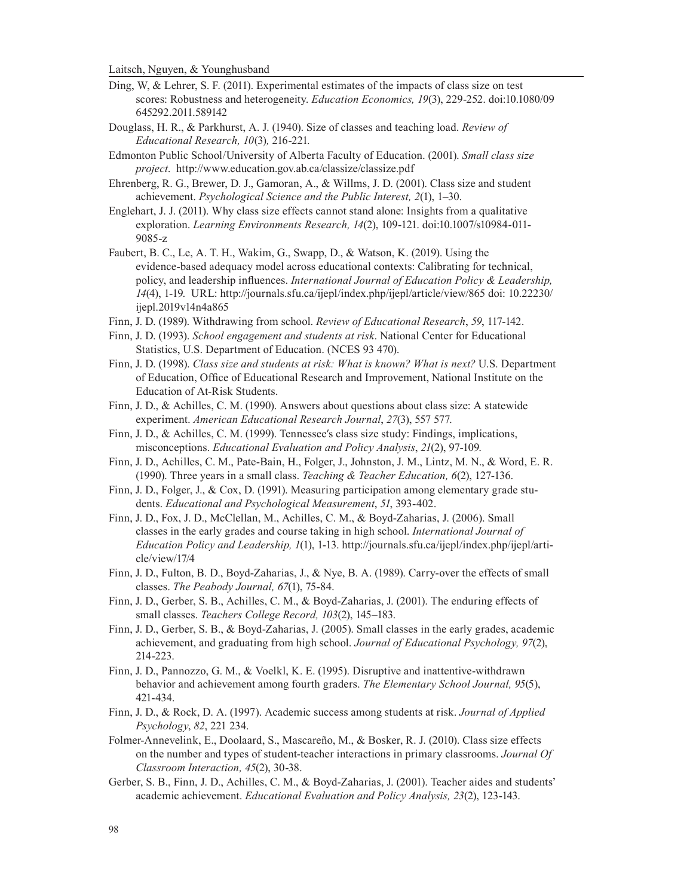- Ding, W, & Lehrer, S. F. (2011). Experimental estimates of the impacts of class size on test scores: Robustness and heterogeneity. *Education Economics, 19*(3), 229-252. doi:10.1080/09 645292.2011.589142
- Douglass, H. R., & Parkhurst, A. J. (1940). Size of classes and teaching load. *Review of Educational Research, 10*(3)*,* 216-221*.*
- Edmonton Public School/University of Alberta Faculty of Education. (2001). *Small class size project*. http://www.education.gov.ab.ca/classize/classize.pdf
- Ehrenberg, R. G., Brewer, D. J., Gamoran, A., & Willms, J. D. (2001). Class size and student achievement. *Psychological Science and the Public Interest, 2*(1), 1–30.
- Englehart, J. J. (2011). Why class size effects cannot stand alone: Insights from a qualitative exploration. *Learning Environments Research, 14*(2), 109-121. doi:10.1007/s10984-011- 9085-z
- Faubert, B. C., Le, A. T. H., Wakim, G., Swapp, D., & Watson, K. (2019). Using the evidence-based adequacy model across educational contexts: Calibrating for technical, policy, and leadership influences. *International Journal of Education Policy & Leadership, 14*(4), 1-19. URL: http://journals.sfu.ca/ijepl/index.php/ijepl/article/view/865 doi: 10.22230/ ijepl.2019v14n4a865
- Finn, J. D. (1989). Withdrawing from school. *Review of Educational Research*, *59*, 117-142.
- Finn, J. D. (1993). *School engagement and students at risk*. National Center for Educational Statistics, U.S. Department of Education. (NCES 93 470).
- Finn, J. D. (1998). *Class size and students at risk: What is known? What is next?* U.S. Department of Education, Office of Educational Research and Improvement, National Institute on the Education of At-Risk Students.
- Finn, J. D., & Achilles, C. M. (1990). Answers about questions about class size: A statewide experiment. *American Educational Research Journal*, *27*(3), 557 577.
- Finn, J. D., & Achilles, C. M. (1999). Tennessee's class size study: Findings, implications, misconceptions. *Educational Evaluation and Policy Analysis*, *21*(2), 97-109.
- Finn, J. D., Achilles, C. M., Pate-Bain, H., Folger, J., Johnston, J. M., Lintz, M. N., & Word, E. R. (1990). Three years in a small class. *Teaching & Teacher Education, 6*(2), 127-136.
- Finn, J. D., Folger, J., & Cox, D. (1991). Measuring participation among elementary grade students. *Educational and Psychological Measurement*, *51*, 393-402.
- Finn, J. D., Fox, J. D., McClellan, M., Achilles, C. M., & Boyd-Zaharias, J. (2006). Small classes in the early grades and course taking in high school. *International Journal of Education Policy and Leadership, 1*(1), 1-13. http://journals.sfu.ca/ijepl/index.php/ijepl/article/view/17/4
- Finn, J. D., Fulton, B. D., Boyd-Zaharias, J., & Nye, B. A. (1989). Carry-over the effects of small classes. *The Peabody Journal, 67*(1), 75-84.
- Finn, J. D., Gerber, S. B., Achilles, C. M., & Boyd-Zaharias, J. (2001). The enduring effects of small classes. *Teachers College Record, 103*(2), 145–183.
- Finn, J. D., Gerber, S. B., & Boyd-Zaharias, J. (2005). Small classes in the early grades, academic achievement, and graduating from high school. *Journal of Educational Psychology, 97*(2), 214-223.
- Finn, J. D., Pannozzo, G. M., & Voelkl, K. E. (1995). Disruptive and inattentive-withdrawn behavior and achievement among fourth graders. *The Elementary School Journal, 95*(5), 421-434.
- Finn, J. D., & Rock, D. A. (1997). Academic success among students at risk. *Journal of Applied Psychology*, *82*, 221 234.
- Folmer-Annevelink, E., Doolaard, S., Mascareño, M., & Bosker, R. J. (2010). Class size effects on the number and types of student-teacher interactions in primary classrooms. *Journal Of Classroom Interaction, 45*(2), 30-38.
- Gerber, S. B., Finn, J. D., Achilles, C. M., & Boyd-Zaharias, J. (2001). Teacher aides and students' academic achievement. *Educational Evaluation and Policy Analysis, 23*(2), 123-143.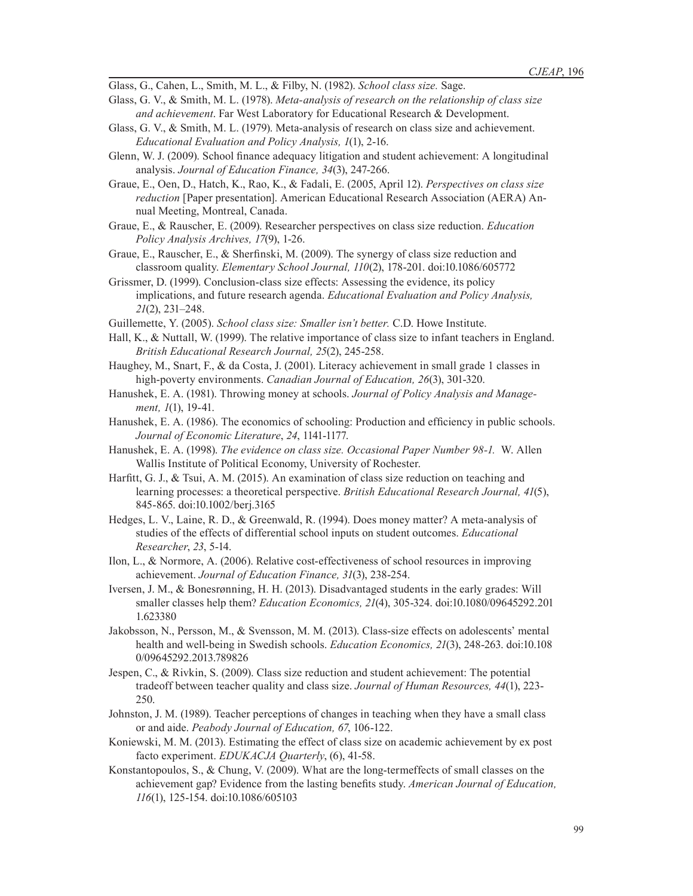Glass, G., Cahen, L., Smith, M. L., & Filby, N. (1982). *School class size.* Sage.

- Glass, G. V., & Smith, M. L. (1978). *Meta-analysis of research on the relationship of class size and achievement*. Far West Laboratory for Educational Research & Development.
- Glass, G. V., & Smith, M. L. (1979). Meta-analysis of research on class size and achievement. *Educational Evaluation and Policy Analysis, 1*(1), 2-16.
- Glenn, W. J. (2009). School finance adequacy litigation and student achievement: A longitudinal analysis. *Journal of Education Finance, 34*(3), 247-266.
- Graue, E., Oen, D., Hatch, K., Rao, K., & Fadali, E. (2005, April 12). *Perspectives on class size reduction* [Paper presentation]. American Educational Research Association (AERA) Annual Meeting, Montreal, Canada.
- Graue, E., & Rauscher, E. (2009). Researcher perspectives on class size reduction. *Education Policy Analysis Archives, 17*(9), 1-26.
- Graue, E., Rauscher, E., & Sherfinski, M. (2009). The synergy of class size reduction and classroom quality. *Elementary School Journal, 110*(2), 178-201. doi:10.1086/605772
- Grissmer, D. (1999). Conclusion-class size effects: Assessing the evidence, its policy implications, and future research agenda. *Educational Evaluation and Policy Analysis, 21*(2), 231–248.
- Guillemette, Y. (2005). *School class size: Smaller isn't better.* C.D. Howe Institute.
- Hall, K., & Nuttall, W. (1999). The relative importance of class size to infant teachers in England. *British Educational Research Journal, 25*(2), 245-258.
- Haughey, M., Snart, F., & da Costa, J. (2001). Literacy achievement in small grade 1 classes in high-poverty environments. *Canadian Journal of Education, 26*(3), 301-320.
- Hanushek, E. A. (1981). Throwing money at schools. *Journal of Policy Analysis and Management, 1*(1), 19-41.
- Hanushek, E. A. (1986). The economics of schooling: Production and efficiency in public schools. *Journal of Economic Literature*, *24*, 1141-1177.
- Hanushek, E. A. (1998). *The evidence on class size. Occasional Paper Number 98-1.* W. Allen Wallis Institute of Political Economy, University of Rochester.
- Harfitt, G. J., & Tsui, A. M. (2015). An examination of class size reduction on teaching and learning processes: a theoretical perspective. *British Educational Research Journal, 41*(5), 845-865. doi:10.1002/berj.3165
- Hedges, L. V., Laine, R. D., & Greenwald, R. (1994). Does money matter? A meta-analysis of studies of the effects of differential school inputs on student outcomes. *Educational Researcher*, *23*, 5-14.
- Ilon, L., & Normore, A. (2006). Relative cost-effectiveness of school resources in improving achievement. *Journal of Education Finance, 31*(3), 238-254.
- Iversen, J. M., & Bonesrønning, H. H. (2013). Disadvantaged students in the early grades: Will smaller classes help them? *Education Economics, 21*(4), 305-324. doi:10.1080/09645292.201 1.623380
- Jakobsson, N., Persson, M., & Svensson, M. M. (2013). Class-size effects on adolescents' mental health and well-being in Swedish schools. *Education Economics, 21*(3), 248-263. doi:10.108 0/09645292.2013.789826
- Jespen, C., & Rivkin, S. (2009). Class size reduction and student achievement: The potential tradeoff between teacher quality and class size. *Journal of Human Resources, 44*(1), 223- 250.
- Johnston, J. M. (1989). Teacher perceptions of changes in teaching when they have a small class or and aide. *Peabody Journal of Education, 67*, 106-122.
- Koniewski, M. M. (2013). Estimating the effect of class size on academic achievement by ex post facto experiment. *EDUKACJA Quarterly*, (6), 41-58.
- Konstantopoulos, S., & Chung, V. (2009). What are the long-termeffects of small classes on the achievement gap? Evidence from the lasting benefits study. *American Journal of Education, 116*(1), 125-154. doi:10.1086/605103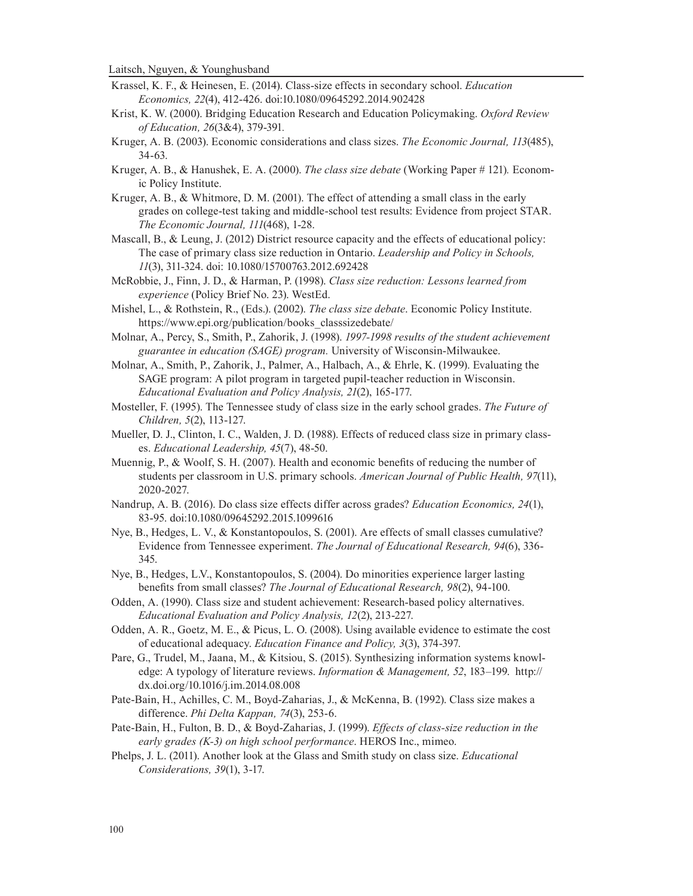- Krassel, K. F., & Heinesen, E. (2014). Class-size effects in secondary school. *Education Economics, 22*(4), 412-426. doi:10.1080/09645292.2014.902428
- Krist, K. W. (2000). Bridging Education Research and Education Policymaking. *Oxford Review of Education, 26*(3&4), 379-391*.*
- Kruger, A. B. (2003). Economic considerations and class sizes. *The Economic Journal, 113*(485), 34-63.
- Kruger, A. B., & Hanushek, E. A. (2000). *The class size debate* (Working Paper # 121)*.* Economic Policy Institute.
- Kruger, A. B., & Whitmore, D. M. (2001). The effect of attending a small class in the early grades on college-test taking and middle-school test results: Evidence from project STAR. *The Economic Journal, 111*(468), 1-28.
- Mascall, B., & Leung, J. (2012) District resource capacity and the effects of educational policy: The case of primary class size reduction in Ontario. *Leadership and Policy in Schools, 11*(3), 311-324. doi: 10.1080/15700763.2012.692428
- McRobbie, J., Finn, J. D., & Harman, P. (1998). *Class size reduction: Lessons learned from experience* (Policy Brief No. 23). WestEd.
- Mishel, L., & Rothstein, R., (Eds.). (2002). *The class size debate*. Economic Policy Institute. https://www.epi.org/publication/books\_classsizedebate/
- Molnar, A., Percy, S., Smith, P., Zahorik, J. (1998). *1997-1998 results of the student achievement guarantee in education (SAGE) program.* University of Wisconsin-Milwaukee.
- Molnar, A., Smith, P., Zahorik, J., Palmer, A., Halbach, A., & Ehrle, K. (1999). Evaluating the SAGE program: A pilot program in targeted pupil-teacher reduction in Wisconsin. *Educational Evaluation and Policy Analysis, 21*(2), 165-177.
- Mosteller, F. (1995). The Tennessee study of class size in the early school grades. *The Future of Children, 5*(2), 113-127.
- Mueller, D. J., Clinton, I. C., Walden, J. D. (1988). Effects of reduced class size in primary classes. *Educational Leadership, 45*(7), 48-50.
- Muennig, P., & Woolf, S. H. (2007). Health and economic benefits of reducing the number of students per classroom in U.S. primary schools. *American Journal of Public Health, 97*(11), 2020-2027.
- Nandrup, A. B. (2016). Do class size effects differ across grades? *Education Economics, 24*(1), 83-95. doi:10.1080/09645292.2015.1099616
- Nye, B., Hedges, L. V., & Konstantopoulos, S. (2001). Are effects of small classes cumulative? Evidence from Tennessee experiment. *The Journal of Educational Research, 94*(6), 336- 345.
- Nye, B., Hedges, L.V., Konstantopoulos, S. (2004). Do minorities experience larger lasting benefits from small classes? *The Journal of Educational Research, 98*(2), 94-100.
- Odden, A. (1990). Class size and student achievement: Research-based policy alternatives. *Educational Evaluation and Policy Analysis, 12*(2), 213-227.
- Odden, A. R., Goetz, M. E., & Picus, L. O. (2008). Using available evidence to estimate the cost of educational adequacy. *Education Finance and Policy, 3*(3), 374-397.
- Pare, G., Trudel, M., Jaana, M., & Kitsiou, S. (2015). Synthesizing information systems knowledge: A typology of literature reviews. *Information & Management, 52*, 183–199. http:// dx.doi.org/10.1016/j.im.2014.08.008
- Pate-Bain, H., Achilles, C. M., Boyd-Zaharias, J., & McKenna, B. (1992). Class size makes a difference. *Phi Delta Kappan, 74*(3), 253-6.
- Pate-Bain, H., Fulton, B. D., & Boyd-Zaharias, J. (1999). *Effects of class-size reduction in the early grades (K-3) on high school performance*. HEROS Inc., mimeo.
- Phelps, J. L. (2011). Another look at the Glass and Smith study on class size. *Educational Considerations, 39*(1), 3-17.